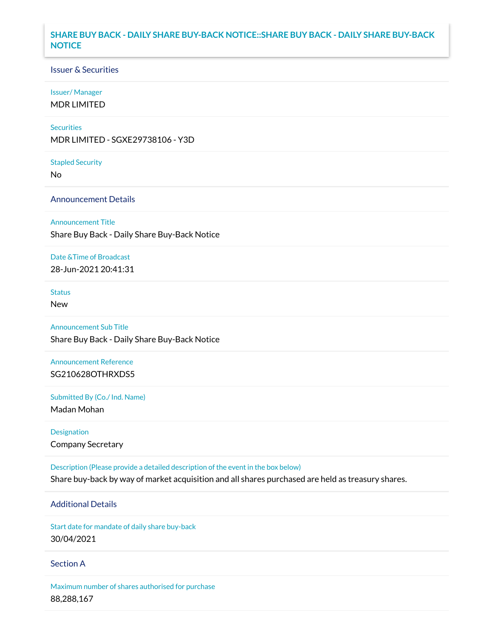# **SHARE BUY BACK - DAILY SHARE BUY-BACK NOTICE::SHARE BUY BACK - DAILY SHARE BUY-BACK NOTICE**

#### Issuer & Securities

#### Issuer/ Manager

MDR LIMITED

#### **Securities**

MDR LIMITED - SGXE29738106 - Y3D

#### Stapled Security

No

### Announcement Details

#### Announcement Title

Share Buy Back - Daily Share Buy-Back Notice

## Date &Time of Broadcast

28-Jun-2021 20:41:31

# Status

New

# Announcement Sub Title

Share Buy Back - Daily Share Buy-Back Notice

# Announcement Reference SG210628OTHRXDS5

Submitted By (Co./ Ind. Name)

Madan Mohan

# Designation Company Secretary

Description (Please provide a detailed description of the event in the box below) Share buy-back by way of market acquisition and all shares purchased are held as treasury shares.

# Additional Details

Start date for mandate of daily share buy-back 30/04/2021

#### Section A

Maximum number of shares authorised for purchase 88,288,167